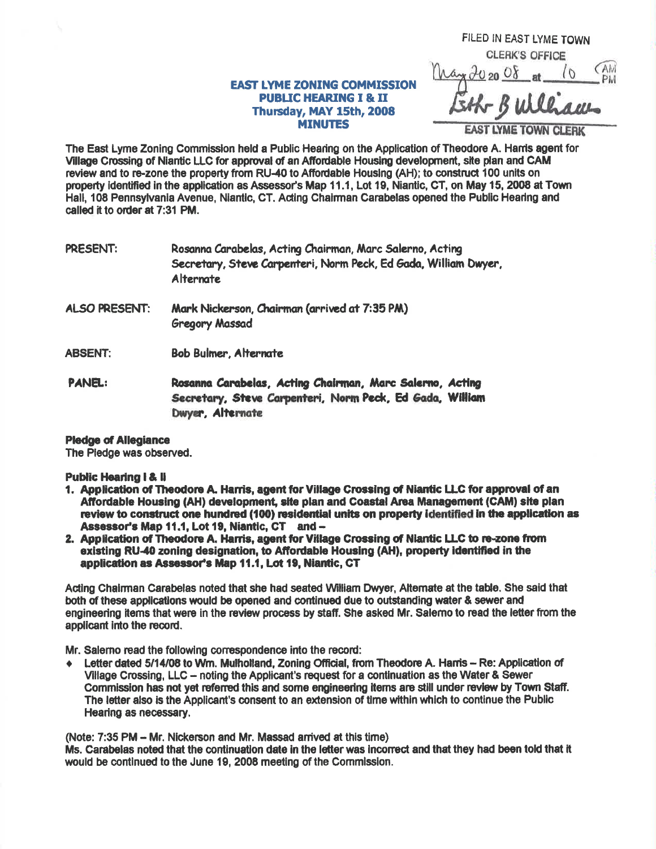## **EAST LYME ZONING COMMISSION PUBLIC HEARING I & II** Thursday, MAY 15th, 2008 **MINUTES**

FILED IN EAST LYME TOWN **CLERK'S OFFICE** PM

AST LYME TOWN CLERK

The East Lyme Zoning Commission held a Public Hearing on the Application of Theodore A. Harris agent for Village Crossing of Niantic LLC for approval of an Affordable Housing development, site plan and CAM review and to re-zone the property from RU-40 to Affordable Housing (AH); to construct 100 units on property identified in the application as Assessor's Map 11.1, Lot 19, Niantic, CT, on May 15, 2008 at Town Hall, 108 Pennsylvania Avenue, Niantic, CT, Acting Chairman Carabelas opened the Public Hearing and called it to order at 7:31 PM.

| PRESENT: | Rosanna Carabelas, Acting Chairman, Marc Salerno, Acting        |
|----------|-----------------------------------------------------------------|
|          | Secretary, Steve Carpenteri, Norm Peck, Ed Gada, William Dwyer, |
|          | Alternate                                                       |

- Mark Nickerson, Chairman (arrived at 7:35 PM) **ALSO PRESENT: Gregory Massad**
- **ABSENT: Bob Bulmer, Alternate**

PANEL: Rosanna Carabelas, Acting Chairman, Marc Salerno, Acting Secretary, Steve Carpenteri, Norm Peck, Ed Gada, William Dwyer, Alternate

## **Pledge of Allegiance**

The Pledge was observed.

## **Public Hearing I & II**

- 1. Application of Theodore A. Harris, agent for Village Crossing of Niantic LLC for approval of an Affordable Housing (AH) development, site plan and Coastal Area Management (CAM) site plan review to construct one hundred (100) residential units on property identified in the application as Assessor's Map 11.1, Lot 19, Niantic, CT and -
- 2. Application of Theodore A. Harris, agent for Village Crossing of Niantic LLC to re-zone from existing RU-40 zoning designation, to Affordable Housing (AH), property identified in the application as Assessor's Map 11.1, Lot 19, Niantic, CT

Acting Chairman Carabelas noted that she had seated William Dwyer, Altemate at the table. She said that both of these applications would be opened and continued due to outstanding water & sewer and engineering items that were in the review process by staff. She asked Mr. Salerno to read the letter from the applicant into the record.

Mr. Salerno read the following correspondence into the record:

Letter dated 5/14/08 to Wm. Mulholland. Zoning Official, from Theodore A. Harris - Re: Application of  $\bullet$ Village Crossing, LLC – noting the Applicant's request for a continuation as the Water & Sewer Commission has not yet referred this and some engineering items are still under review by Town Staff. The letter also is the Applicant's consent to an extension of time within which to continue the Public Hearing as necessary.

(Note: 7:35 PM - Mr. Nickerson and Mr. Massad arrived at this time)

Ms. Carabelas noted that the continuation date in the letter was incorrect and that they had been told that it would be continued to the June 19, 2008 meeting of the Commission.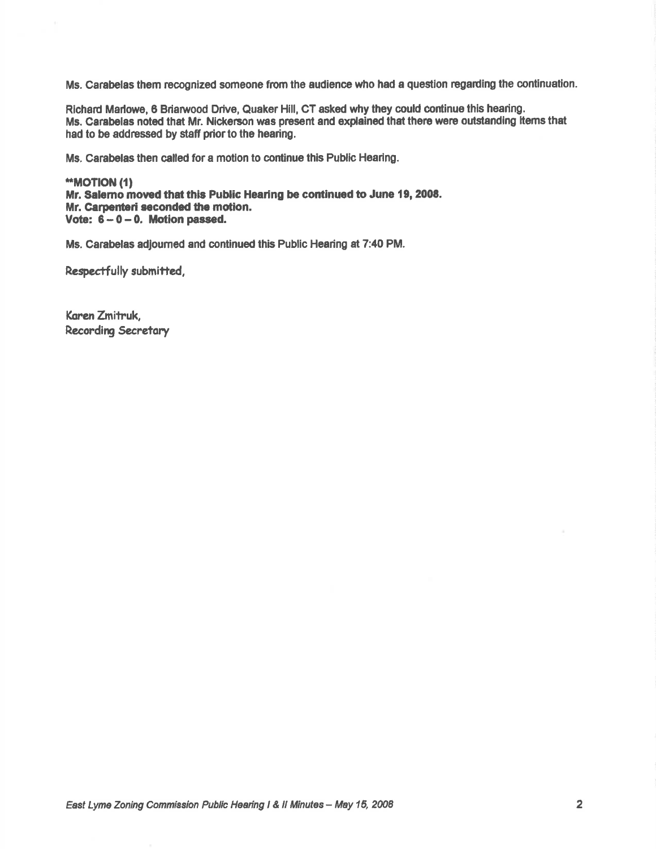Ms. Carabelas them recognized someone from the audience who had a question regarding the continuation.

Richard Marlowe, 6 Briarwood Drive, Quaker Hill, CT asked why they could continue this hearing. Ms. Carabelas noted that Mr. Nickerson was present and explained that there were outstanding items that had to be addressed by staff prior to the hearing.

Ms. Carabelas then called for a motion to continue this Public Hearing.

**\*\*MOTION (1)** Mr. Salemo moved that this Public Hearing be continued to June 19, 2008. Mr. Carpenteri seconded the motion. Vote:  $6 - 0 - 0$ . Motion passed.

Ms. Carabelas adjourned and continued this Public Hearing at 7:40 PM.

Respectfully submitted,

Karen Zmitruk, **Recording Secretary**